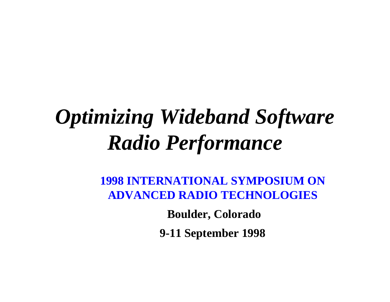## *Optimizing Wideband Software Radio Performance*

**1998 INTERNATIONAL SYMPOSIUM ON ADVANCED RADIO TECHNOLOGIES**

> **Boulder, Colorado 9-11 September 1998**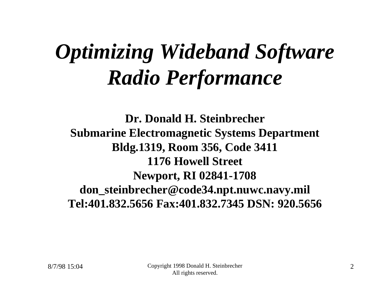## *Optimizing Wideband Software Radio Performance*

**Dr. Donald H. Steinbrecher Submarine Electromagnetic Systems Department Bldg.1319, Room 356, Code 3411 1176 Howell Street Newport, RI 02841-1708 don\_steinbrecher@code34.npt.nuwc.navy.mil Tel:401.832.5656 Fax:401.832.7345 DSN: 920.5656**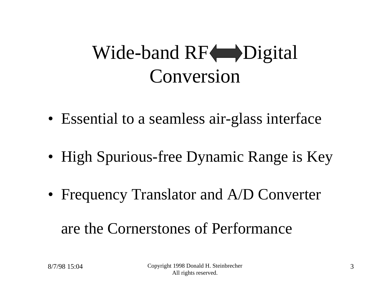### Wide-band RF $\Box$ Digital Conversion

- Essential to a seamless air-glass interface
- High Spurious-free Dynamic Range is Key
- Frequency Translator and A/D Converter are the Cornerstones of Performance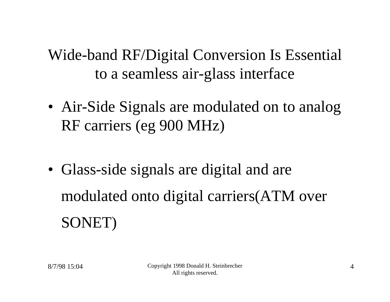Wide-band RF/Digital Conversion Is Essential to a seamless air-glass interface

- Air-Side Signals are modulated on to analog RF carriers (eg 900 MHz)
- Glass-side signals are digital and are modulated onto digital carriers(ATM over SONET)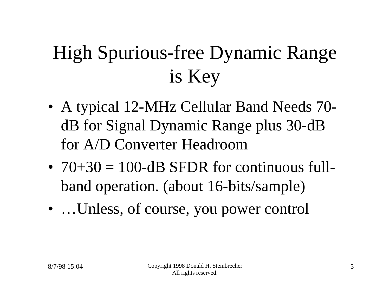### High Spurious-free Dynamic Range is Key

- A typical 12-MHz Cellular Band Needs 70 dB for Signal Dynamic Range plus 30-dB for A/D Converter Headroom
- $70+30 = 100$ -dB SFDR for continuous fullband operation. (about 16-bits/sample)
- ... Unless, of course, you power control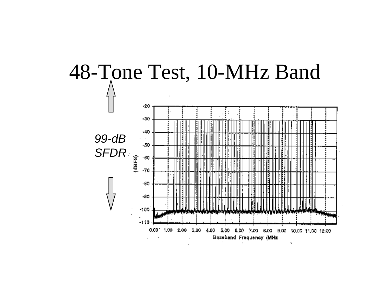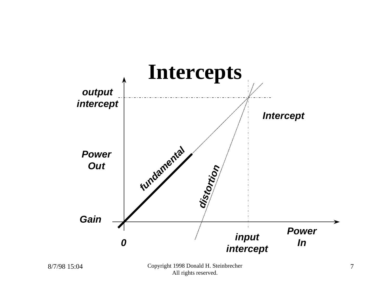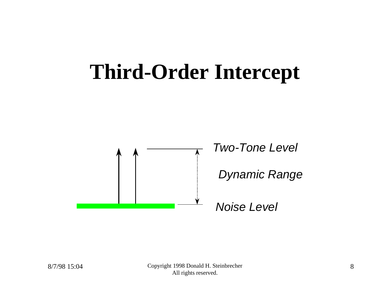## **Third-Order Intercept**



*Two-Tone Level*

*Dynamic Range*

*Noise Level*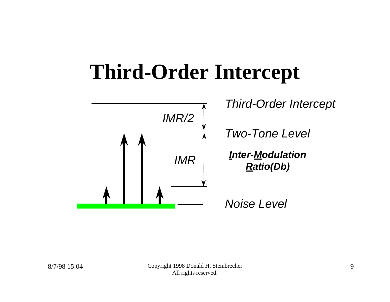## **Third-Order Intercept**



*Third-Order Intercept*

*Two-Tone Level*

*Inter-Modulation Ratio(Db)*

*Noise Level*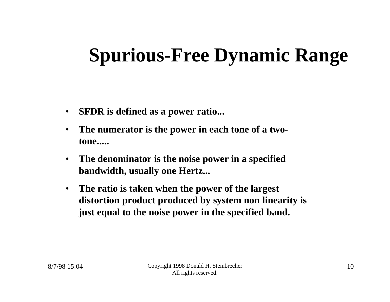- **SFDR is defined as a power ratio...**
- **The numerator is the power in each tone of a twotone.....**
- **The denominator is the noise power in a specified bandwidth, usually one Hertz...**
- **The ratio is taken when the power of the largest distortion product produced by system non linearity is just equal to the noise power in the specified band.**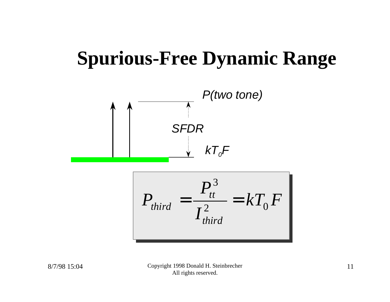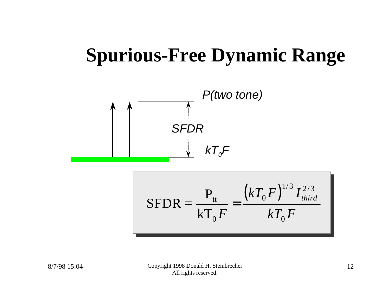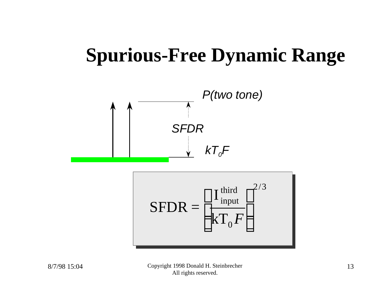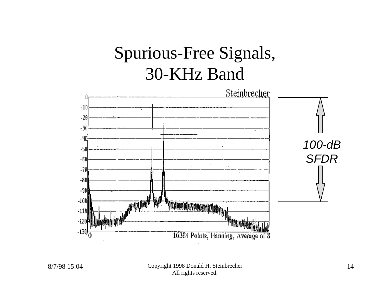#### Spurious-Free Signals, 30-KHz Band

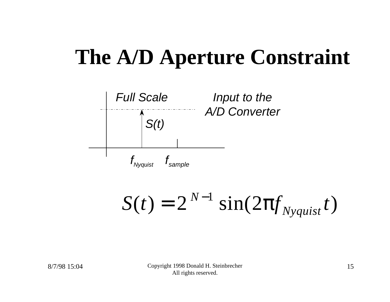

 $S(t) = 2^{N-1} \sin(2pt) y_{\text{Nyquist}}(t)$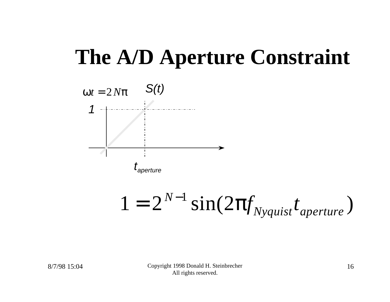

 $1 = 2^{N-1} \sin(2pt) y_{Nyquist} t_{aperture}$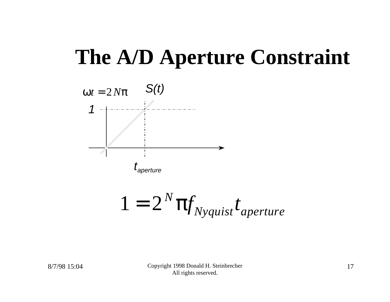

$$
1 = 2^N \mathbf{p} f_{Nyquist} t_{aperture}
$$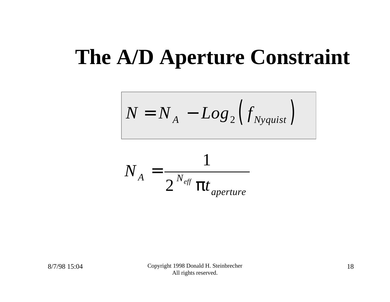$$
N = N_A - Log_2(f_{Nyquist})
$$

$$
N_A = \frac{1}{2^{N_{\text{eff}}}} \frac{1}{\mathbf{p}t_{\text{aperture}}}
$$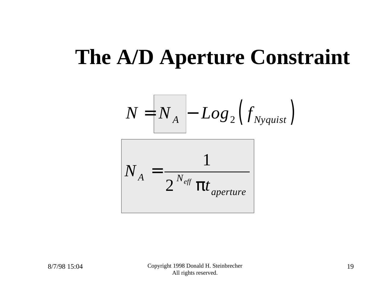$$
N = N_A - Log_2(f_{Nyquist})
$$

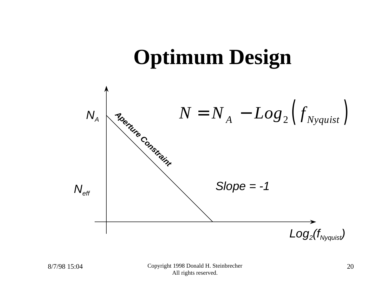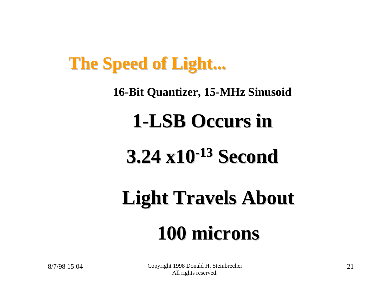#### **The Speed of Light...**

#### **16-Bit Quantizer, 15-MHz Sinusoid**

#### **1-LSB Occurs in**

### **3.24 x10-13 Second**

# **Light Travels About 100 microns**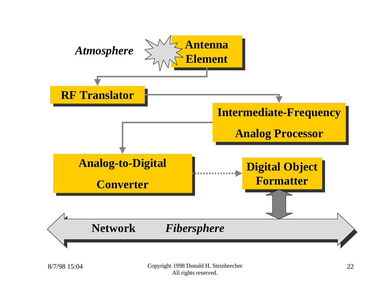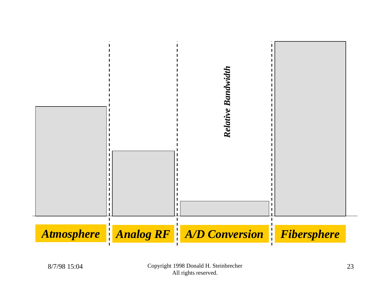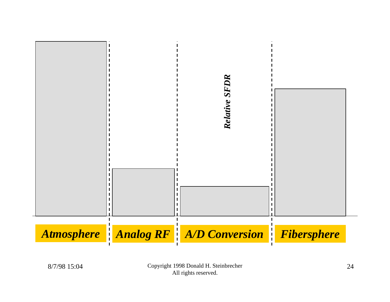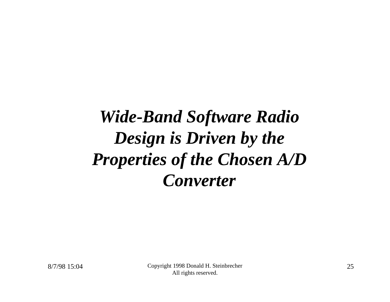#### *Wide-Band Software Radio Design is Driven by the Properties of the Chosen A/D Converter*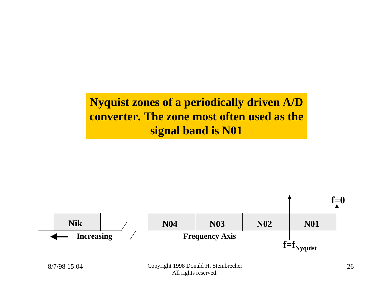#### **Nyquist zones of a periodically driven A/D converter. The zone most often used as the signal band is N01**

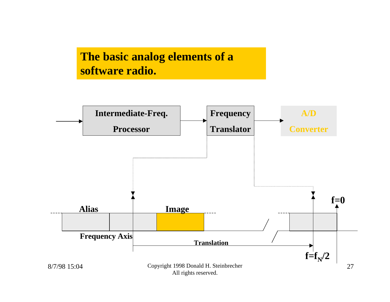#### **The basic analog elements of a software radio.**

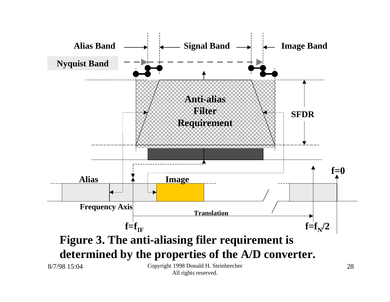

All rights reserved.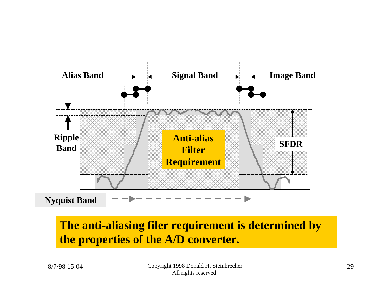

#### **The anti-aliasing filer requirement is determined by the properties of the A/D converter.**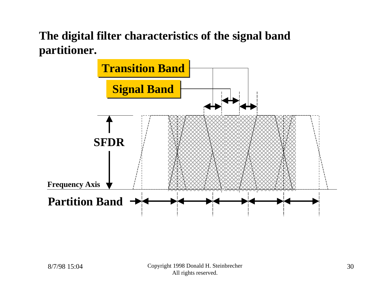#### **The digital filter characteristics of the signal band partitioner.**

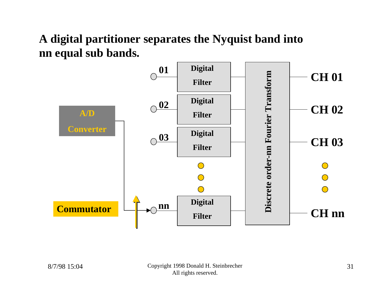#### **A digital partitioner separates the Nyquist band into nn equal sub bands.**

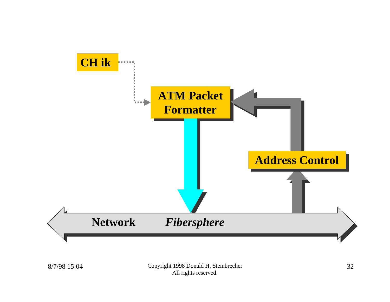